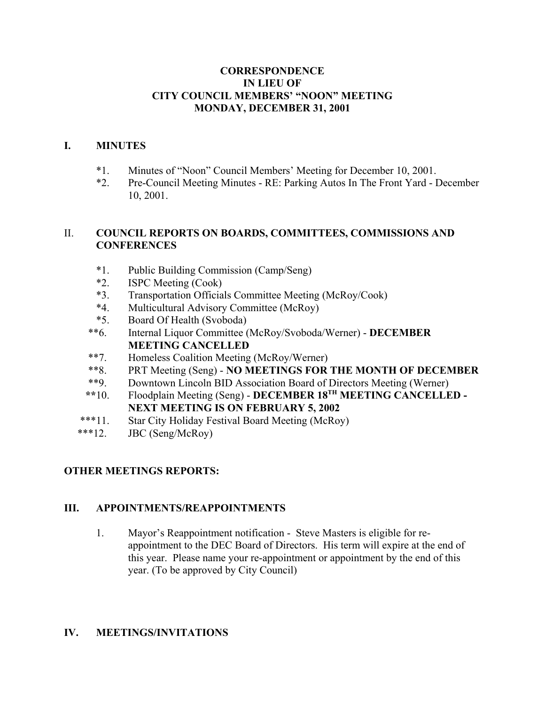# **CORRESPONDENCE IN LIEU OF CITY COUNCIL MEMBERS' "NOON" MEETING MONDAY, DECEMBER 31, 2001**

# **I. MINUTES**

- \*1. Minutes of "Noon" Council Members' Meeting for December 10, 2001.
- \*2. Pre-Council Meeting Minutes RE: Parking Autos In The Front Yard December 10, 2001.

# II. **COUNCIL REPORTS ON BOARDS, COMMITTEES, COMMISSIONS AND CONFERENCES**

- \*1. Public Building Commission (Camp/Seng)
- \*2. ISPC Meeting (Cook)
- \*3. Transportation Officials Committee Meeting (McRoy/Cook)
- \*4. Multicultural Advisory Committee (McRoy)
- \*5. Board Of Health (Svoboda)
- \*\*6. Internal Liquor Committee (McRoy/Svoboda/Werner) **DECEMBER MEETING CANCELLED**
- \*\*7. Homeless Coalition Meeting (McRoy/Werner)
- \*\*8. PRT Meeting (Seng) **NO MEETINGS FOR THE MONTH OF DECEMBER**
- \*\*9. Downtown Lincoln BID Association Board of Directors Meeting (Werner)
- **\*\***10. Floodplain Meeting (Seng) **DECEMBER 18TH MEETING CANCELLED - NEXT MEETING IS ON FEBRUARY 5, 2002**
- \*\*\*11. Star City Holiday Festival Board Meeting (McRoy)
- \*\*\*12. JBC (Seng/McRoy)

# **OTHER MEETINGS REPORTS:**

## **III. APPOINTMENTS/REAPPOINTMENTS**

1. Mayor's Reappointment notification - Steve Masters is eligible for reappointment to the DEC Board of Directors. His term will expire at the end of this year. Please name your re-appointment or appointment by the end of this year. (To be approved by City Council)

# **IV. MEETINGS/INVITATIONS**